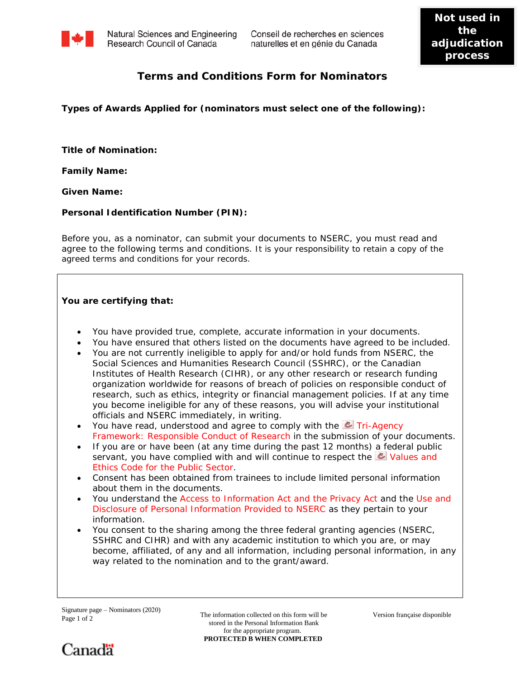

Natural Sciences and Engineering Research Council of Canada

## **Terms and Conditions Form for Nominators**

**Types of Awards Applied for (nominators must select one of the following):**

**Title of Nomination:** 

**Family Name:**

**Given Name:**

## **Personal Identification Number (PIN):**

Before you, as a nominator, can submit your documents to NSERC, you must read and agree to the following terms and conditions. It is your responsibility to retain a copy of the agreed terms and conditions for your records.

## **You are certifying that:**

- You have provided true, complete, accurate information in your documents.
- You have ensured that others listed on the documents have agreed to be included.
- You are not currently ineligible to apply for and/or hold funds from NSERC, the Social Sciences and Humanities Research Council (SSHRC), or the Canadian Institutes of Health Research (CIHR), or any other research or research funding organization worldwide for reasons of breach of policies on responsible conduct of research, such as ethics, integrity or financial management policies. If at any time you become ineligible for any of these reasons, you will advise your institutional officials and NSERC immediately, in writing.
- You have read, understood and agree to comply with the  $\sim$  Tri-Agency [Framework: Responsible Conduct of Research](http://www.rcr.ethics.gc.ca/eng/policy-politique/framework-cadre/) in the submission of your documents.
- If you are or have been (at any time during the past 12 months) a federal public servant, you have complied with and will continue to respect the Values and [Ethics Code for the Public Sector.](http://www.tbs-sct.gc.ca/pol/doc-eng.aspx?id=25049)
- Consent has been obtained from trainees to include limited personal information about them in the documents.
- You understand the [Access to Information Act and the Privacy Act](http://www.nserc-crsng.gc.ca/NSERC-CRSNG/Policies-Politiques/atip-aiprp_eng.asp) and the [Use and](http://www.nserc-crsng.gc.ca/NSERC-CRSNG/Policies-Politiques/atip-aiprp_eng.asp#a3) [Disclosure of Personal Information Provided to NSERC](http://www.nserc-crsng.gc.ca/NSERC-CRSNG/Policies-Politiques/atip-aiprp_eng.asp#a3) as they pertain to your information.
- You consent to the sharing among the three federal granting agencies (NSERC, SSHRC and CIHR) and with any academic institution to which you are, or may become, affiliated, of any and all information, including personal information, in any way related to the nomination and to the grant/award.

The information collected on this form will be stored in the Personal Information Bank for the appropriate program. **PROTECTED B WHEN COMPLETED**